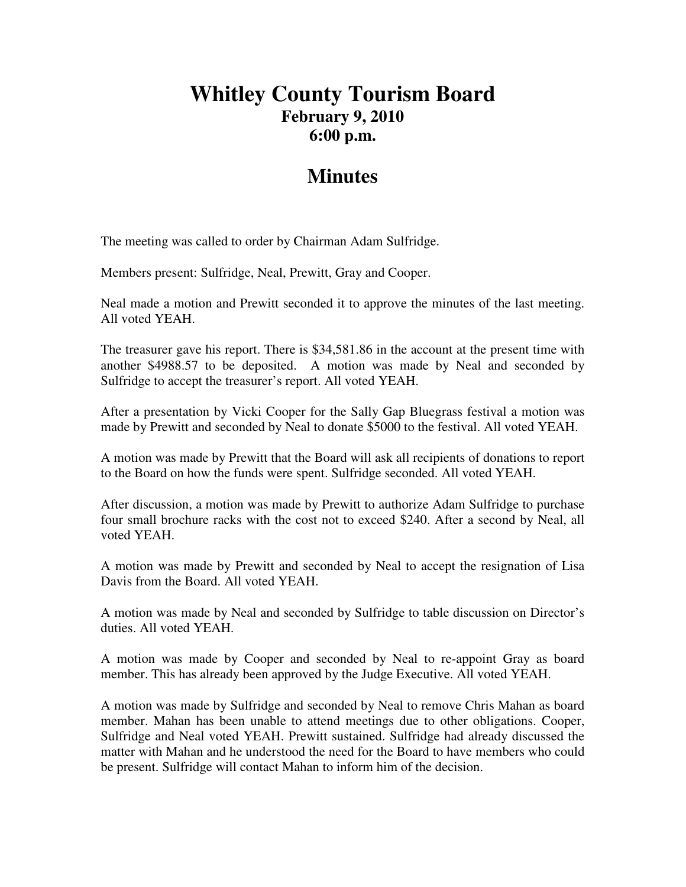## **Whitley County Tourism Board February 9, 2010 6:00 p.m.**

## **Minutes**

The meeting was called to order by Chairman Adam Sulfridge.

Members present: Sulfridge, Neal, Prewitt, Gray and Cooper.

Neal made a motion and Prewitt seconded it to approve the minutes of the last meeting. All voted YEAH.

The treasurer gave his report. There is \$34,581.86 in the account at the present time with another \$4988.57 to be deposited. A motion was made by Neal and seconded by Sulfridge to accept the treasurer's report. All voted YEAH.

After a presentation by Vicki Cooper for the Sally Gap Bluegrass festival a motion was made by Prewitt and seconded by Neal to donate \$5000 to the festival. All voted YEAH.

A motion was made by Prewitt that the Board will ask all recipients of donations to report to the Board on how the funds were spent. Sulfridge seconded. All voted YEAH.

After discussion, a motion was made by Prewitt to authorize Adam Sulfridge to purchase four small brochure racks with the cost not to exceed \$240. After a second by Neal, all voted YEAH.

A motion was made by Prewitt and seconded by Neal to accept the resignation of Lisa Davis from the Board. All voted YEAH.

A motion was made by Neal and seconded by Sulfridge to table discussion on Director's duties. All voted YEAH.

A motion was made by Cooper and seconded by Neal to re-appoint Gray as board member. This has already been approved by the Judge Executive. All voted YEAH.

A motion was made by Sulfridge and seconded by Neal to remove Chris Mahan as board member. Mahan has been unable to attend meetings due to other obligations. Cooper, Sulfridge and Neal voted YEAH. Prewitt sustained. Sulfridge had already discussed the matter with Mahan and he understood the need for the Board to have members who could be present. Sulfridge will contact Mahan to inform him of the decision.